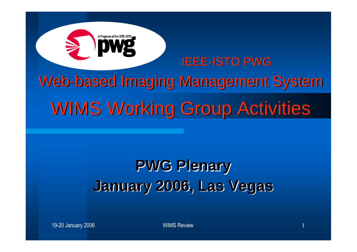IEEE-ISTO PWG Web-based Imaging Management System WIMS Working Group Activities

## **PWG Plenary January 2006, Las Vegas**

19-20 January 2006 WIMS Review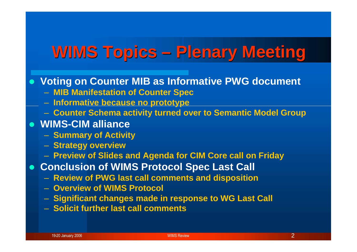## **WIMS Topics – Plenary Meeting**

#### **Voting on Counter MIB as Informative PWG document**

- **MIB Manifestation of Counter Spec**
- **Informative because no prototype**
- **Counter Schema activity turned over to Semantic Model Group**
- **WIMS-CIM alliance**
	- **Summary of Activity**
	- **Strategy overview**
	- **Preview of Slides and Agenda for CIM Core call on Friday**
- **Conclusion of WIMS Protocol Spec Last Call**
	- **Review of PWG last call comments and disposition**
	- **Overview of WIMS Protocol**
	- **Significant changes made in response to WG Last Call**
	- **Solicit further last call comments**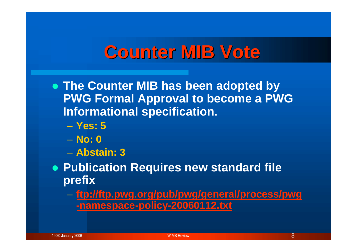## **Counter MIB Vote**

 **The Counter MIB has been adopted by PWG Formal Approval to become a PWG Informational specification.**

- **Yes: 5**
- **No: 0**
- **Abstain: 3**

 **Publication Requires new standard file prefix**

– **ftp://ftp.pwg.org/pub/pwg/general/process/pwg -namespace-policy-20060112.txt**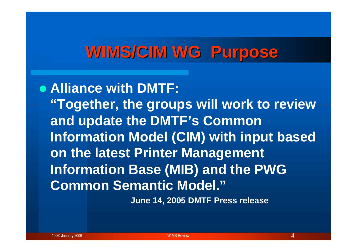### **WIMS/CIM WG Purpose**

**Alliance with DMTF: "Together, the groups will work to review and update the DMTF's Common Information Model (CIM) with input based on the latest Printer Management Information Base (MIB) and the PWG Common Semantic Model."**

**June 14, 2005 DMTF Press release**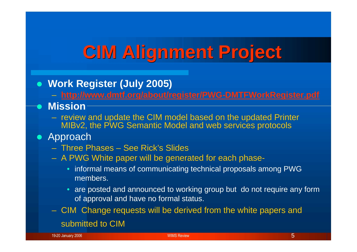# **CIM Alignment Project**

**Work Register (July 2005)**

– **http://www.dmtf.org/about/register/PWG-DMTFWorkRegister.pdf**

**Mission**

- review and update the CIM model based on the updated Printer MIBv2, the PWG Semantic Model and web services protocols
- Approach
	- Three Phases See Rick's Slides
	- A PWG White paper will be generated for each phase-
		- informal means of communicating technical proposals among PWG members.
		- are posted and announced to working group but do not require any form of approval and have no formal status.
	- CIM Change requests will be derived from the white papers and submitted to CIM

19-20 January 2006 WIMS Review 5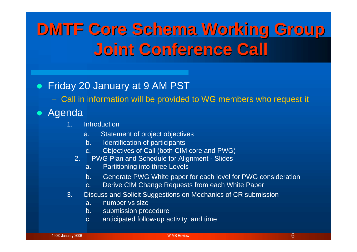# **DMTF Core Schema Working Group Joint Conference Call**

#### Friday 20 January at 9 AM PST

– Call in information will be provided to WG members who request it

#### Agenda

- 1. Introduction
	- a. Statement of project objectives
	- b. Identification of participants
	- c. Objectives of Call (both CIM core and PWG)
	- 2. PWG Plan and Schedule for Alignment Slides
		- a. Partitioning into three Levels
		- b. Generate PWG White paper for each level for PWG consideration
		- c. Derive CIM Change Requests from each White Paper
- 3. Discuss and Solicit Suggestions on Mechanics of CR submission
	- a. number vs size
	- b. submission procedure
	- c. anticipated follow-up activity, and time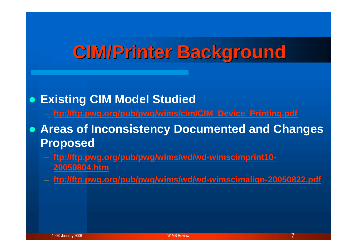# **CIM/Printer Background**

### **Existing CIM Model Studied**

- **ftp://ftp.pwg.org/pub/pwg/wims/cim/CIM\_Device\_Printing.pdf**
- **Areas of Inconsistency Documented and Changes Proposed**
	- **ftp://ftp.pwg.org/pub/pwg/wims/wd/wd-wimscimprint10- 20050804.htm**
	- **ftp://ftp.pwg.org/pub/pwg/wims/wd/wd-wimscimalign-20050822.pdf**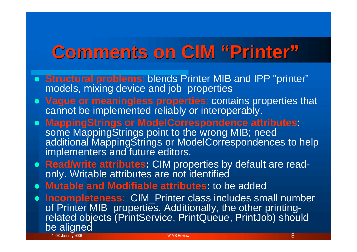# **Comments on CIM "Printer"**

- **Structural problems**: blends Printer MIB and IPP "printer" models, mixing device and job properties
- **Vague or meaningless properties**: contains properties that cannot be implemented reliably or interoperably.
- **MappingStrings or ModelCorrespondence attributes**: some MappingStrings point to the wrong MIB; need additional MappingStrings or ModelCorrespondences to help implementers and future editors.
- **Read/write attributes:** CIM properties by default are readonly. Writable attributes are not identified
- **Mutable and Modifiable attributes:** to be added
- 19-20 January 2006 **8** No. 2006 **8 No. 2012 12:20 Section 2014 12:20 And 2014 12:20 January 2006 8 No. 2014 12:20 Incompleteness**: CIM\_Printer class includes small number of Printer MIB properties. Additionally, the other printingrelated objects (PrintService, PrintQueue, PrintJob) should be aligned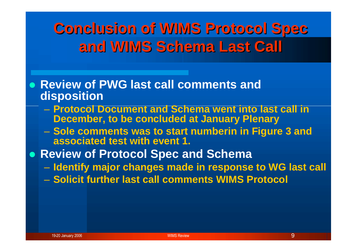### **Conclusion of WIMS Protocol Spec and WIMS Schema Last Call**

- **Review of PWG last call comments and disposition**
	- **Protocol Document and Schema went into last call in December, to be concluded at January Plenary**
	- **Sole comments was to start numberin in Figure 3 and associated test with event 1.**
- **Review of Protocol Spec and Schema**
	- **Identify major changes made in response to WG last call**
	- **Solicit further last call comments WIMS Protocol**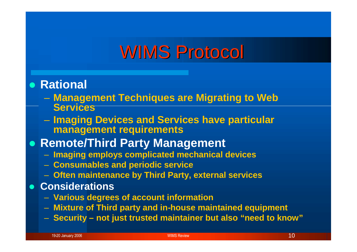## WIMS Protocol

#### **Rational**

- **Management Techniques are Migrating to Web Services**
- **Imaging Devices and Services have particular management requirements**
- **Remote/Third Party Management**
	- **Imaging employs complicated mechanical devices**
	- **Consumables and periodic service**
	- **Often maintenance by Third Party, external services**
- **Considerations**
	- **Various degrees of account information**
	- **Mixture of Third party and in-house maintained equipment**
	- **Security – not just trusted maintainer but also "need to know"**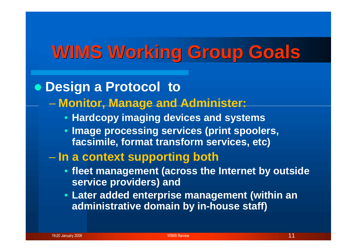# **WIMS Working Group Goals**

### **Design a Protocol to**

### – **Monitor, Manage and Administer:**

- **Hardcopy imaging devices and systems**
- **Image processing services (print spoolers, facsimile, format transform services, etc)**

#### – **In a context supporting both**

- **fleet management (across the Internet by outside service providers) and**
- **Later added enterprise management (within an administrative domain by in-house staff)**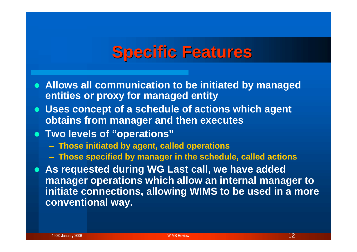### **Specific Features**

- **Allows all communication to be initiated by managed entities or proxy for managed entity**
- **Uses concept of a schedule of actions which agent obtains from manager and then executes**
- **Two levels of "operations"**
	- **Those initiated by agent, called operations**
	- **Those specified by manager in the schedule, called actions**
- **As requested during WG Last call, we have added manager operations which allow an internal manager to initiate connections, allowing WIMS to be used in a more conventional way.**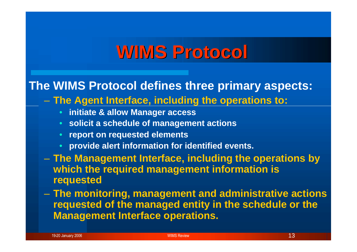# **WIMS Protocol**

### **The WIMS Protocol defines three primary aspects:**

- **The Agent Interface, including the operations to:**
	- **initiate & allow Manager access**
	- **solicit a schedule of management actions**
	- **report on requested elements**
	- **provide alert information for identified events.**
- **The Management Interface, including the operations by which the required management information is requested**
- **The monitoring, management and administrative actions requested of the managed entity in the schedule or the Management Interface operations.**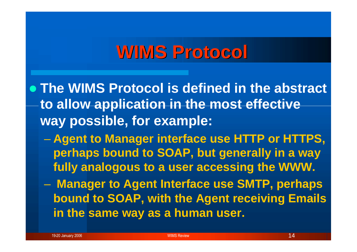## **WIMS Protocol**

- **The WIMS Protocol is defined in the abstract to allow application in the most effective way possible, for example:**
	- **Agent to Manager interface use HTTP or HTTPS, perhaps bound to SOAP, but generally in a way fully analogous to a user accessing the WWW.**
	- **Manager to Agent Interface use SMTP, perhaps bound to SOAP, with the Agent receiving Emails in the same way as a human user.**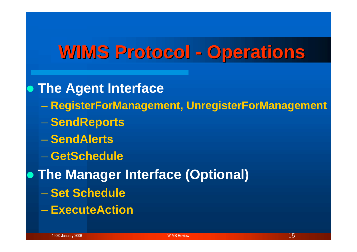## **WIMS Protocol - Operations**

**The Agent Interface**

- **RegisterForManagement, UnregisterForManagement**
- **SendReports**
- **SendAlerts**
- **GetSchedule**
- **The Manager Interface (Optional)**
	- **Set Schedule**
	- **ExecuteAction**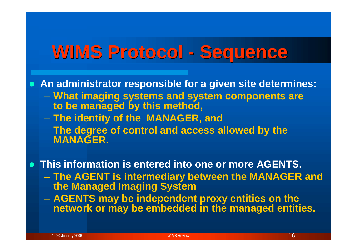## **WIMS Protocol - Sequence**

**An administrator responsible for a given site determines:**

- **What imaging systems and system components are to be managed by this method,**
- **The identity of the MANAGER, and**
- **The degree of control and access allowed by the MANAGER.**

**This information is entered into one or more AGENTS.**

- **The AGENT is intermediary between the MANAGER and the Managed Imaging System**
- **AGENTS may be independent proxy entities on the network or may be embedded in the managed entities.**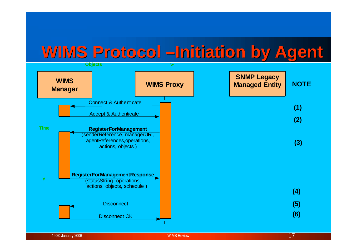### **WIMS Protocol –Initiation by Agent**



19-20 January 2006  $\hbox{17}$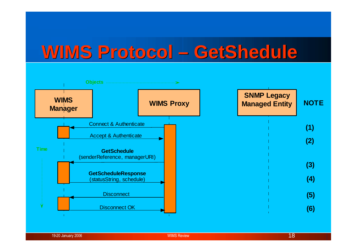## **WIMS Protocol – GetShedule**

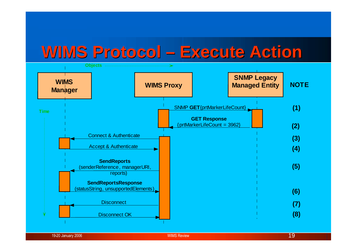### **WIMS Protocol – Execute Action**



19-20 January 2006 **1998 - The Contract of Contract Contract of Contract Contract Contract Only 19-20 January 2006**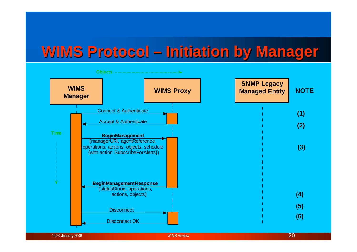### **WIMS Protocol – Initiation by Manager**



19-20 January 2006 **2008 WIMS Review 2008 WIMS Review** 2008 **20**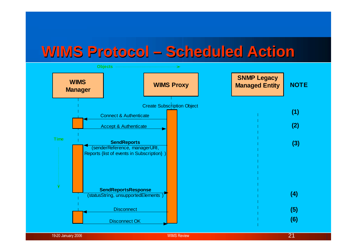### **WIMS Protocol – Scheduled Action**

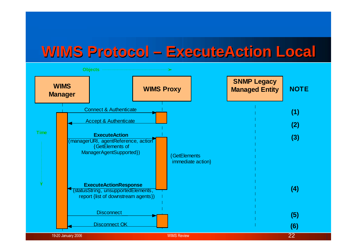### **WIMS Protocol – ExecuteAction Local**

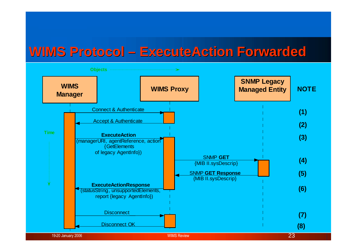### **WIMS Protocol – ExecuteAction Forwarded**

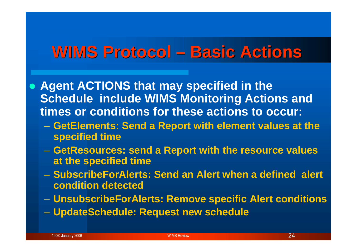### **WIMS Protocol – Basic Actions**

 **Agent ACTIONS that may specified in the Schedule include WIMS Monitoring Actions and times or conditions for these actions to occur:**

- **GetElements: Send a Report with element values at the specified time**
- **GetResources: send a Report with the resource values at the specified time**
- **SubscribeForAlerts: Send an Alert when a defined alert condition detected**
- **UnsubscribeForAlerts: Remove specific Alert conditions**
- **UpdateSchedule: Request new schedule**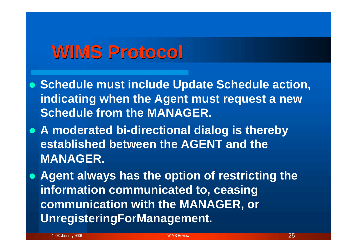## **WIMS Protocol**

 **Schedule must include Update Schedule action, indicating when the Agent must request a new Schedule from the MANAGER.**

 **A moderated bi-directional dialog is thereby established between the AGENT and the MANAGER.**

 **Agent always has the option of restricting the information communicated to, ceasing communication with the MANAGER, or UnregisteringForManagement.**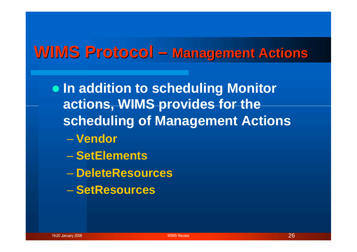### **WIMS Protocol – Management Actions**

 $\bullet$  **In addition to scheduling Monitor actions, WIMS provides for the scheduling of Management Actions** – **Vendor**

- **SetElements**
- **DeleteResources**
- **SetResources**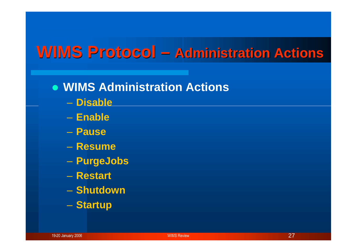### **WIMS Protocol – Administration Actions**

- **WIMS Administration Actions**
	- **Disable**
	- **Enable**
	- **Pause**
	- **Resume**
	- **PurgeJobs**
	- **Restart**
	- **Shutdown**
	- **Startup**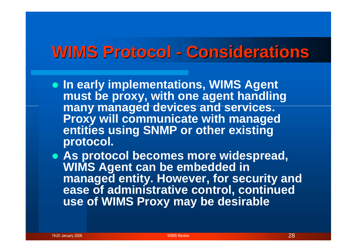## **WIMS Protocol - Considerations**

 **In early implementations, WIMS Agent must be proxy, with one agent handling many managed devices and services. Proxy will communicate with managed entities using SNMP or other existing protocol.**

 **As protocol becomes more widespread, WIMS Agent can be embedded in managed entity. However, for security and ease of administrative control, continued use of WIMS Proxy may be desirable**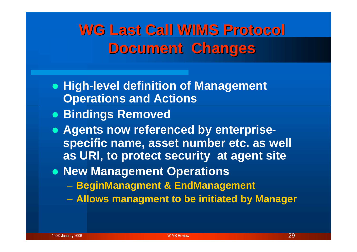### **WG Last Call WIMS Protocol Document Changes**

- **High-level definition of Management Operations and Actions**
- **Bindings Removed**
- **Agents now referenced by enterprisespecific name, asset number etc. as well as URI, to protect security at agent site**
- **New Management Operations** 
	- **BeginManagment & EndManagement**
	- **Allows managment to be initiated by Manager**